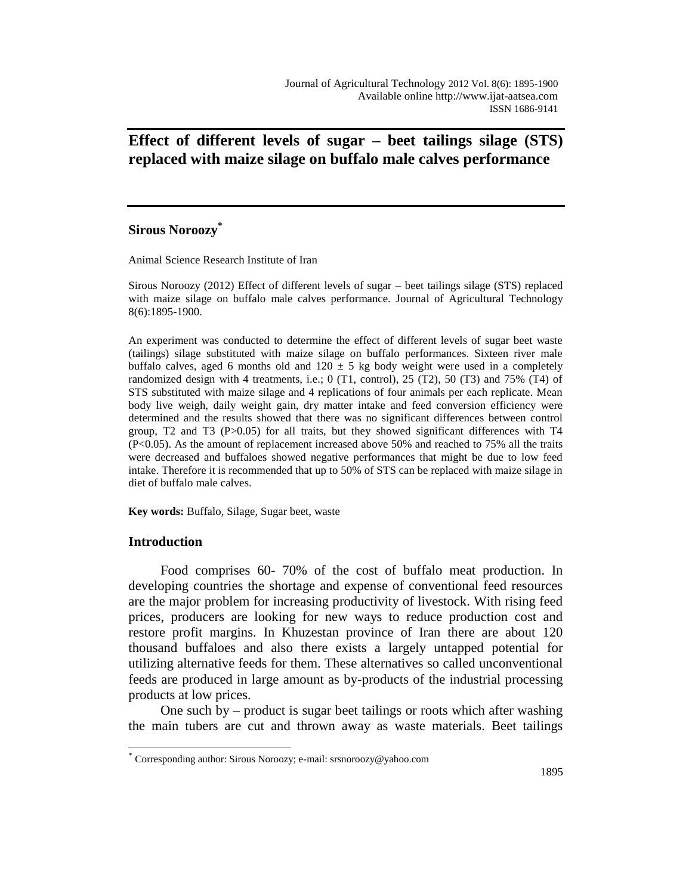# **Effect of different levels of sugar – beet tailings silage (STS) replaced with maize silage on buffalo male calves performance**

# **Sirous Noroozy\***

Animal Science Research Institute of Iran

Sirous Noroozy (2012) Effect of different levels of sugar – beet tailings silage (STS) replaced with maize silage on buffalo male calves performance. Journal of Agricultural Technology 8(6):1895-1900.

An experiment was conducted to determine the effect of different levels of sugar beet waste (tailings) silage substituted with maize silage on buffalo performances. Sixteen river male buffalo calves, aged 6 months old and  $120 \pm 5$  kg body weight were used in a completely randomized design with 4 treatments, i.e.; 0 (T1, control), 25 (T2), 50 (T3) and 75% (T4) of STS substituted with maize silage and 4 replications of four animals per each replicate. Mean body live weigh, daily weight gain, dry matter intake and feed conversion efficiency were determined and the results showed that there was no significant differences between control group, T2 and T3 (P>0.05) for all traits, but they showed significant differences with T4 (P<0.05). As the amount of replacement increased above 50% and reached to 75% all the traits were decreased and buffaloes showed negative performances that might be due to low feed intake. Therefore it is recommended that up to 50% of STS can be replaced with maize silage in diet of buffalo male calves.

**Key words:** Buffalo, Silage, Sugar beet, waste

## **Introduction**

 $\overline{a}$ 

Food comprises 60- 70% of the cost of buffalo meat production. In developing countries the shortage and expense of conventional feed resources are the major problem for increasing productivity of livestock. With rising feed prices, producers are looking for new ways to reduce production cost and restore profit margins. In Khuzestan province of Iran there are about 120 thousand buffaloes and also there exists a largely untapped potential for utilizing alternative feeds for them. These alternatives so called unconventional feeds are produced in large amount as by-products of the industrial processing products at low prices.

One such by – product is sugar beet tailings or roots which after washing the main tubers are cut and thrown away as waste materials. Beet tailings

<sup>\*</sup> Corresponding author: Sirous Noroozy; e-mail: srsnoroozy@yahoo.com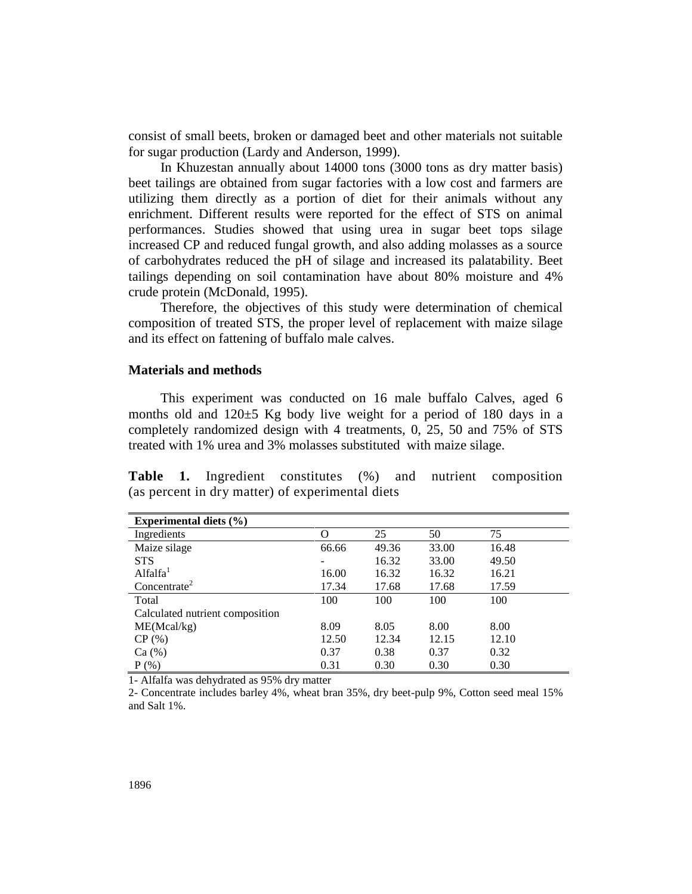consist of small beets, broken or damaged beet and other materials not suitable for sugar production (Lardy and Anderson, 1999).

In Khuzestan annually about 14000 tons (3000 tons as dry matter basis) beet tailings are obtained from sugar factories with a low cost and farmers are utilizing them directly as a portion of diet for their animals without any enrichment. Different results were reported for the effect of STS on animal performances. Studies showed that using urea in sugar beet tops silage increased CP and reduced fungal growth, and also adding molasses as a source of carbohydrates reduced the pH of silage and increased its palatability. Beet tailings depending on soil contamination have about 80% moisture and 4% crude protein (McDonald, 1995).

Therefore, the objectives of this study were determination of chemical composition of treated STS, the proper level of replacement with maize silage and its effect on fattening of buffalo male calves.

### **Materials and methods**

This experiment was conducted on 16 male buffalo Calves, aged 6 months old and 120±5 Kg body live weight for a period of 180 days in a completely randomized design with 4 treatments, 0, 25, 50 and 75% of STS treated with 1% urea and 3% molasses substituted with maize silage.

**Table 1.** Ingredient constitutes (%) and nutrient composition (as percent in dry matter) of experimental diets

| Experimental diets $(\% )$      |       |       |       |       |  |  |  |
|---------------------------------|-------|-------|-------|-------|--|--|--|
| Ingredients                     |       | 25    | 50    | 75    |  |  |  |
| Maize silage                    | 66.66 | 49.36 | 33.00 | 16.48 |  |  |  |
| <b>STS</b>                      |       | 16.32 | 33.00 | 49.50 |  |  |  |
| Alfalfa <sup>1</sup>            | 16.00 | 16.32 | 16.32 | 16.21 |  |  |  |
| Concentrate <sup>2</sup>        | 17.34 | 17.68 | 17.68 | 17.59 |  |  |  |
| Total                           | 100   | 100   | 100   | 100   |  |  |  |
| Calculated nutrient composition |       |       |       |       |  |  |  |
| ME(Mcal/kg)                     | 8.09  | 8.05  | 8.00  | 8.00  |  |  |  |
| CP(%)                           | 12.50 | 12.34 | 12.15 | 12.10 |  |  |  |
| Ca (%)                          | 0.37  | 0.38  | 0.37  | 0.32  |  |  |  |
| $P(\%)$                         | 0.31  | 0.30  | 0.30  | 0.30  |  |  |  |

1- Alfalfa was dehydrated as 95% dry matter

2- Concentrate includes barley 4%, wheat bran 35%, dry beet-pulp 9%, Cotton seed meal 15% and Salt 1%.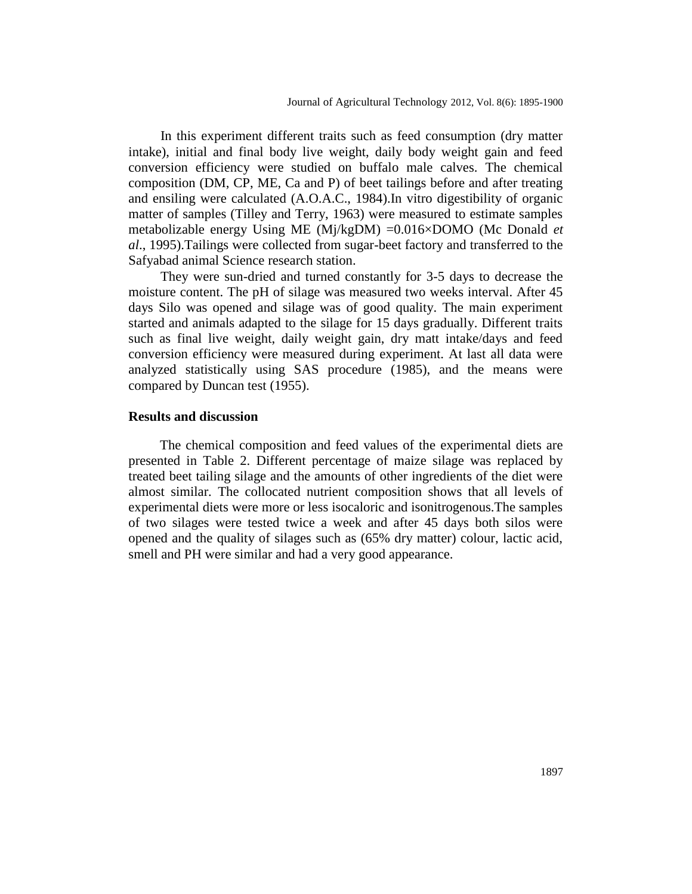In this experiment different traits such as feed consumption (dry matter intake), initial and final body live weight, daily body weight gain and feed conversion efficiency were studied on buffalo male calves. The chemical composition (DM, CP, ME, Ca and P) of beet tailings before and after treating and ensiling were calculated (A.O.A.C., 1984).In vitro digestibility of organic matter of samples (Tilley and Terry, 1963) were measured to estimate samples metabolizable energy Using ME (Mj/kgDM) =0.016×DOMO (Mc Donald *et al*., 1995).Tailings were collected from sugar-beet factory and transferred to the Safyabad animal Science research station.

They were sun-dried and turned constantly for 3-5 days to decrease the moisture content. The pH of silage was measured two weeks interval. After 45 days Silo was opened and silage was of good quality. The main experiment started and animals adapted to the silage for 15 days gradually. Different traits such as final live weight, daily weight gain, dry matt intake/days and feed conversion efficiency were measured during experiment. At last all data were analyzed statistically using SAS procedure (1985), and the means were compared by Duncan test (1955).

#### **Results and discussion**

The chemical composition and feed values of the experimental diets are presented in Table 2. Different percentage of maize silage was replaced by treated beet tailing silage and the amounts of other ingredients of the diet were almost similar. The collocated nutrient composition shows that all levels of experimental diets were more or less isocaloric and isonitrogenous.The samples of two silages were tested twice a week and after 45 days both silos were opened and the quality of silages such as (65% dry matter) colour, lactic acid, smell and PH were similar and had a very good appearance.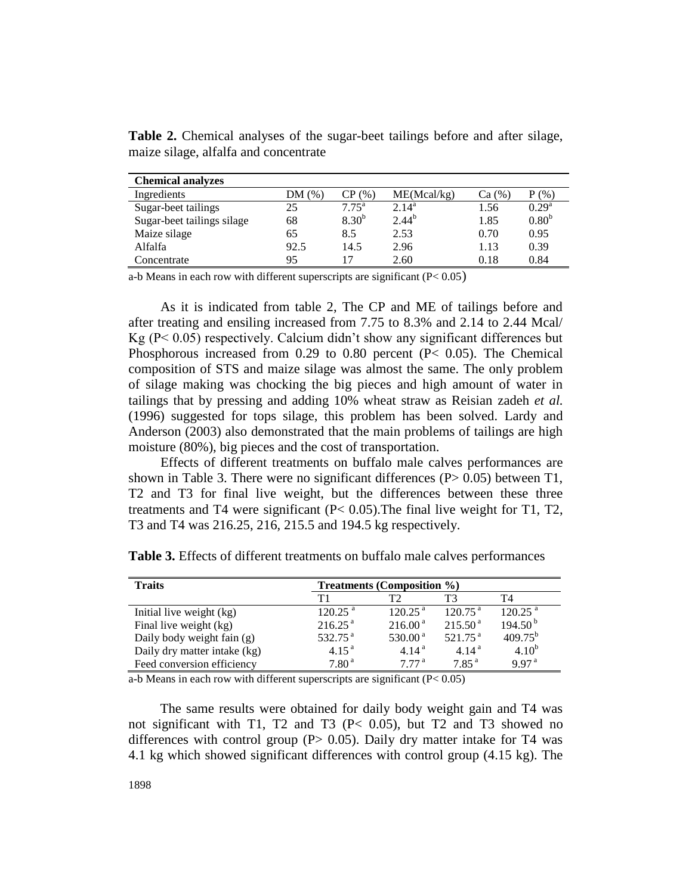| <b>Chemical analyzes</b>   |        |                |             |        |                   |
|----------------------------|--------|----------------|-------------|--------|-------------------|
| Ingredients                | DM (%` | CP (%)         | ME(Mcal/kg) | Ca (%) | (%<br>D           |
| Sugar-beet tailings        | 25     | $7.75^{\rm a}$ | $2.14^a$    | 1.56   | $0.29^{\rm a}$    |
| Sugar-beet tailings silage | 68     | $8.30^{b}$     | $2.44^{b}$  | 1.85   | 0.80 <sup>b</sup> |
| Maize silage               | 65     | 8.5            | 2.53        | 0.70   | 0.95              |
| Alfalfa                    | 92.5   | 14.5           | 2.96        | 1.13   | 0.39              |
| Concentrate                | 95     |                | 2.60        | 0.18   | 0.84              |

**Table 2.** Chemical analyses of the sugar-beet tailings before and after silage, maize silage, alfalfa and concentrate

a-b Means in each row with different superscripts are significant  $(P< 0.05)$ 

As it is indicated from table 2, The CP and ME of tailings before and after treating and ensiling increased from 7.75 to 8.3% and 2.14 to 2.44 Mcal/ Kg (P< 0.05) respectively. Calcium didn't show any significant differences but Phosphorous increased from 0.29 to 0.80 percent (P< 0.05). The Chemical composition of STS and maize silage was almost the same. The only problem of silage making was chocking the big pieces and high amount of water in tailings that by pressing and adding 10% wheat straw as Reisian zadeh *et al.* (1996) suggested for tops silage, this problem has been solved. Lardy and Anderson (2003) also demonstrated that the main problems of tailings are high moisture (80%), big pieces and the cost of transportation.

Effects of different treatments on buffalo male calves performances are shown in Table 3. There were no significant differences  $(P> 0.05)$  between T1, T2 and T3 for final live weight, but the differences between these three treatments and T4 were significant (P< 0.05).The final live weight for T1, T2, T3 and T4 was 216.25, 216, 215.5 and 194.5 kg respectively.

| <b>Traits</b>                | <b>Treatments (Composition %)</b> |                      |                       |                       |  |  |
|------------------------------|-----------------------------------|----------------------|-----------------------|-----------------------|--|--|
|                              | $\mathbf{T}1$                     | T?                   | T3                    | T4                    |  |  |
| Initial live weight (kg)     | $120.25$ <sup>a</sup>             | 120.25 <sup>a</sup>  | $120.75$ <sup>a</sup> | $120.25$ <sup>a</sup> |  |  |
| Final live weight (kg)       | 216.25 <sup>a</sup>               | $216.00^{\text{ a}}$ | 215.50 <sup>a</sup>   | 194.50 <sup>b</sup>   |  |  |
| Daily body weight fain (g)   | 532.75 $^{a}$                     | 530.00 $^{\rm a}$    | $521.75$ <sup>a</sup> | $409.75^{b}$          |  |  |
| Daily dry matter intake (kg) | 4.15 <sup>a</sup>                 | 4.14 <sup>a</sup>    | 4.14 <sup>a</sup>     | $4.10^{b}$            |  |  |
| Feed conversion efficiency   | 7.80 <sup>a</sup>                 | 777 <sup>a</sup>     | 7.85 <sup>a</sup>     | 997 <sup>a</sup>      |  |  |

**Table 3.** Effects of different treatments on buffalo male calves performances

a-b Means in each row with different superscripts are significant (P< 0.05)

The same results were obtained for daily body weight gain and T4 was not significant with T1, T2 and T3 (P< 0.05), but T2 and T3 showed no differences with control group ( $P > 0.05$ ). Daily dry matter intake for T4 was 4.1 kg which showed significant differences with control group (4.15 kg). The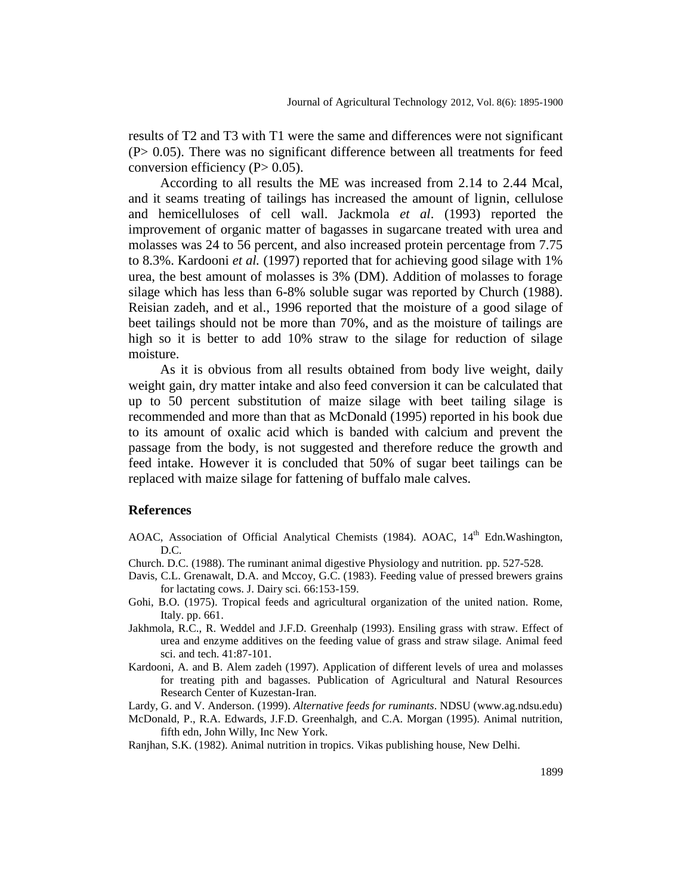results of T2 and T3 with T1 were the same and differences were not significant (P> 0.05). There was no significant difference between all treatments for feed conversion efficiency  $(P> 0.05)$ .

According to all results the ME was increased from 2.14 to 2.44 Mcal, and it seams treating of tailings has increased the amount of lignin, cellulose and hemicelluloses of cell wall. Jackmola *et al*. (1993) reported the improvement of organic matter of bagasses in sugarcane treated with urea and molasses was 24 to 56 percent, and also increased protein percentage from 7.75 to 8.3%. Kardooni *et al.* (1997) reported that for achieving good silage with 1% urea, the best amount of molasses is 3% (DM). Addition of molasses to forage silage which has less than 6-8% soluble sugar was reported by Church (1988). Reisian zadeh, and et al., 1996 reported that the moisture of a good silage of beet tailings should not be more than 70%, and as the moisture of tailings are high so it is better to add 10% straw to the silage for reduction of silage moisture.

As it is obvious from all results obtained from body live weight, daily weight gain, dry matter intake and also feed conversion it can be calculated that up to 50 percent substitution of maize silage with beet tailing silage is recommended and more than that as McDonald (1995) reported in his book due to its amount of oxalic acid which is banded with calcium and prevent the passage from the body, is not suggested and therefore reduce the growth and feed intake. However it is concluded that 50% of sugar beet tailings can be replaced with maize silage for fattening of buffalo male calves.

#### **References**

- AOAC, Association of Official Analytical Chemists (1984). AOAC, 14<sup>th</sup> Edn.Washington, D.C.
- Church. D.C. (1988). The ruminant animal digestive Physiology and nutrition. pp. 527-528.
- Davis, C.L. Grenawalt, D.A. and Mccoy, G.C. (1983). Feeding value of pressed brewers grains for lactating cows. J. Dairy sci. 66:153-159.
- Gohi, B.O. (1975). Tropical feeds and agricultural organization of the united nation. Rome, Italy. pp. 661.
- Jakhmola, R.C., R. Weddel and J.F.D. Greenhalp (1993). Ensiling grass with straw. Effect of urea and enzyme additives on the feeding value of grass and straw silage. Animal feed sci. and tech. 41:87-101.
- Kardooni, A. and B. Alem zadeh (1997). Application of different levels of urea and molasses for treating pith and bagasses. Publication of Agricultural and Natural Resources Research Center of Kuzestan-Iran.

Lardy, G. and V. Anderson. (1999). *Alternative feeds for ruminants*. NDSU (www.ag.ndsu.edu)

McDonald, P., R.A. Edwards, J.F.D. Greenhalgh, and C.A. Morgan (1995). Animal nutrition, fifth edn, John Willy, Inc New York.

Ranjhan, S.K. (1982). Animal nutrition in tropics. Vikas publishing house, New Delhi.